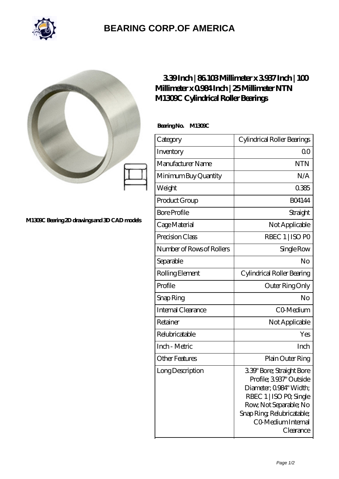

## **[BEARING CORP.OF AMERICA](https://m.bluemondayreview.com)**



## **[M1309C Bearing 2D drawings and 3D CAD models](https://m.bluemondayreview.com/pic-174783.html)**

## **[3.39 Inch | 86.103 Millimeter x 3.937 Inch | 100](https://m.bluemondayreview.com/af-174783-ntn-m1309c-cylindrical-roller-bearings.html) [Millimeter x 0.984 Inch | 25 Millimeter NTN](https://m.bluemondayreview.com/af-174783-ntn-m1309c-cylindrical-roller-bearings.html) [M1309C Cylindrical Roller Bearings](https://m.bluemondayreview.com/af-174783-ntn-m1309c-cylindrical-roller-bearings.html)**

 **Bearing No. M1309C**

| Category                  | Cylindrical Roller Bearings                                                                                                                                                                        |
|---------------------------|----------------------------------------------------------------------------------------------------------------------------------------------------------------------------------------------------|
| Inventory                 | Q0                                                                                                                                                                                                 |
| Manufacturer Name         | <b>NTN</b>                                                                                                                                                                                         |
| Minimum Buy Quantity      | N/A                                                                                                                                                                                                |
| Weight                    | 0385                                                                                                                                                                                               |
| Product Group             | <b>BO4144</b>                                                                                                                                                                                      |
| <b>Bore Profile</b>       | Straight                                                                                                                                                                                           |
| Cage Material             | Not Applicable                                                                                                                                                                                     |
| Precision Class           | RBEC 1   ISO PO                                                                                                                                                                                    |
| Number of Rows of Rollers | Single Row                                                                                                                                                                                         |
| Separable                 | No                                                                                                                                                                                                 |
| Rolling Element           | Cylindrical Roller Bearing                                                                                                                                                                         |
| Profile                   | Outer Ring Only                                                                                                                                                                                    |
| Snap Ring                 | No                                                                                                                                                                                                 |
| Internal Clearance        | CO-Medium                                                                                                                                                                                          |
| Retainer                  | Not Applicable                                                                                                                                                                                     |
| Relubricatable            | Yes                                                                                                                                                                                                |
| Inch - Metric             | Inch                                                                                                                                                                                               |
| <b>Other Features</b>     | Plain Outer Ring                                                                                                                                                                                   |
| Long Description          | 3.39" Bore; Straight Bore<br>Profile; 3937' Outside<br>Diameter; Q984" Width;<br>RBEC 1   ISO PO, Single<br>Row, Not Separable; No<br>Snap Ring Relubricatable;<br>CO Medium Internal<br>Clearance |